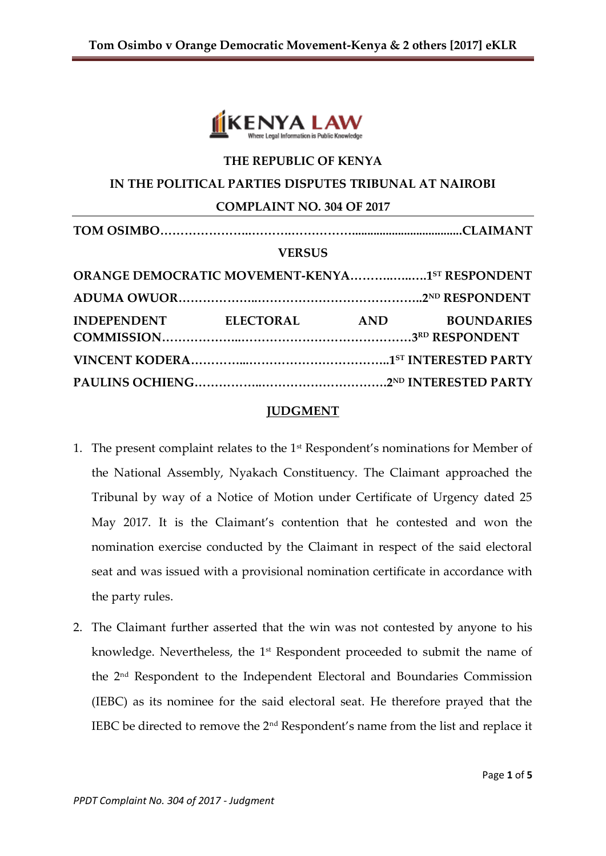

# **THE REPUBLIC OF KENYA**

### **IN THE POLITICAL PARTIES DISPUTES TRIBUNAL AT NAIROBI**

#### **COMPLAINT NO. 304 OF 2017**

| <b>VERSUS</b>                                  |  |  |                   |
|------------------------------------------------|--|--|-------------------|
| ORANGE DEMOCRATIC MOVEMENT-KENYA1ST RESPONDENT |  |  |                   |
|                                                |  |  |                   |
| INDEPENDENT ELECTORAL AND                      |  |  | <b>BOUNDARIES</b> |
|                                                |  |  |                   |
|                                                |  |  |                   |

#### **JUDGMENT**

- 1. The present complaint relates to the 1<sup>st</sup> Respondent's nominations for Member of the National Assembly, Nyakach Constituency. The Claimant approached the Tribunal by way of a Notice of Motion under Certificate of Urgency dated 25 May 2017. It is the Claimant's contention that he contested and won the nomination exercise conducted by the Claimant in respect of the said electoral seat and was issued with a provisional nomination certificate in accordance with the party rules.
- 2. The Claimant further asserted that the win was not contested by anyone to his knowledge. Nevertheless, the 1<sup>st</sup> Respondent proceeded to submit the name of the 2nd Respondent to the Independent Electoral and Boundaries Commission (IEBC) as its nominee for the said electoral seat. He therefore prayed that the IEBC be directed to remove the 2nd Respondent's name from the list and replace it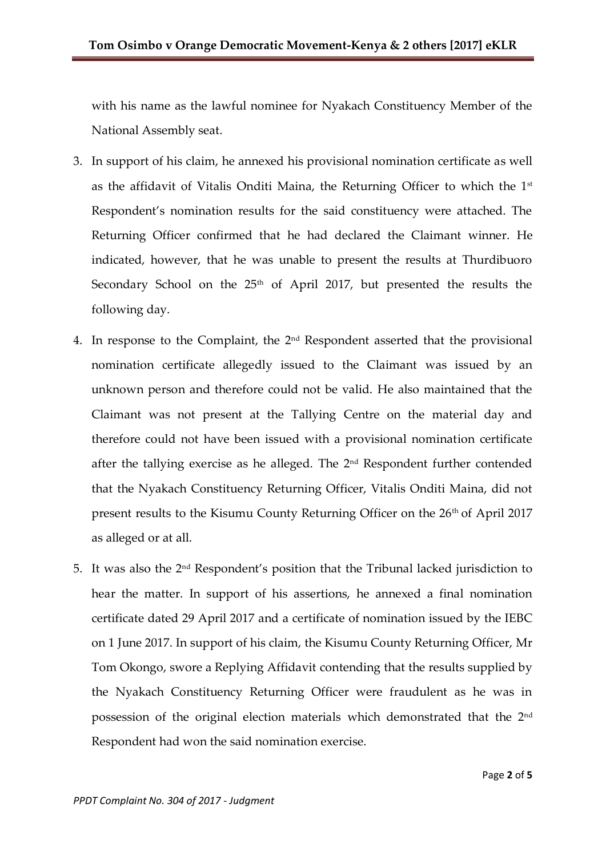with his name as the lawful nominee for Nyakach Constituency Member of the National Assembly seat.

- 3. In support of his claim, he annexed his provisional nomination certificate as well as the affidavit of Vitalis Onditi Maina, the Returning Officer to which the 1st Respondent's nomination results for the said constituency were attached. The Returning Officer confirmed that he had declared the Claimant winner. He indicated, however, that he was unable to present the results at Thurdibuoro Secondary School on the 25<sup>th</sup> of April 2017, but presented the results the following day.
- 4. In response to the Complaint, the  $2<sup>nd</sup>$  Respondent asserted that the provisional nomination certificate allegedly issued to the Claimant was issued by an unknown person and therefore could not be valid. He also maintained that the Claimant was not present at the Tallying Centre on the material day and therefore could not have been issued with a provisional nomination certificate after the tallying exercise as he alleged. The  $2<sup>nd</sup>$  Respondent further contended that the Nyakach Constituency Returning Officer, Vitalis Onditi Maina, did not present results to the Kisumu County Returning Officer on the 26<sup>th</sup> of April 2017 as alleged or at all.
- 5. It was also the 2nd Respondent's position that the Tribunal lacked jurisdiction to hear the matter. In support of his assertions, he annexed a final nomination certificate dated 29 April 2017 and a certificate of nomination issued by the IEBC on 1 June 2017. In support of his claim, the Kisumu County Returning Officer, Mr Tom Okongo, swore a Replying Affidavit contending that the results supplied by the Nyakach Constituency Returning Officer were fraudulent as he was in possession of the original election materials which demonstrated that the 2nd Respondent had won the said nomination exercise.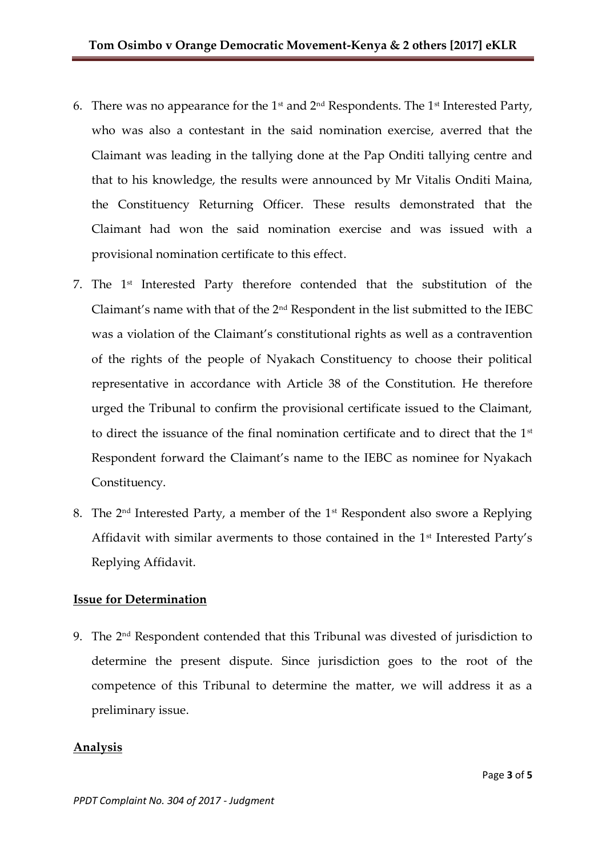- 6. There was no appearance for the 1<sup>st</sup> and  $2<sup>nd</sup>$  Respondents. The 1<sup>st</sup> Interested Party, who was also a contestant in the said nomination exercise, averred that the Claimant was leading in the tallying done at the Pap Onditi tallying centre and that to his knowledge, the results were announced by Mr Vitalis Onditi Maina, the Constituency Returning Officer. These results demonstrated that the Claimant had won the said nomination exercise and was issued with a provisional nomination certificate to this effect.
- 7. The 1st Interested Party therefore contended that the substitution of the Claimant's name with that of the 2nd Respondent in the list submitted to the IEBC was a violation of the Claimant's constitutional rights as well as a contravention of the rights of the people of Nyakach Constituency to choose their political representative in accordance with Article 38 of the Constitution. He therefore urged the Tribunal to confirm the provisional certificate issued to the Claimant, to direct the issuance of the final nomination certificate and to direct that the  $1<sup>st</sup>$ Respondent forward the Claimant's name to the IEBC as nominee for Nyakach Constituency.
- 8. The  $2<sup>nd</sup>$  Interested Party, a member of the  $1<sup>st</sup>$  Respondent also swore a Replying Affidavit with similar averments to those contained in the 1<sup>st</sup> Interested Party's Replying Affidavit.

## **Issue for Determination**

9. The 2nd Respondent contended that this Tribunal was divested of jurisdiction to determine the present dispute. Since jurisdiction goes to the root of the competence of this Tribunal to determine the matter, we will address it as a preliminary issue.

## **Analysis**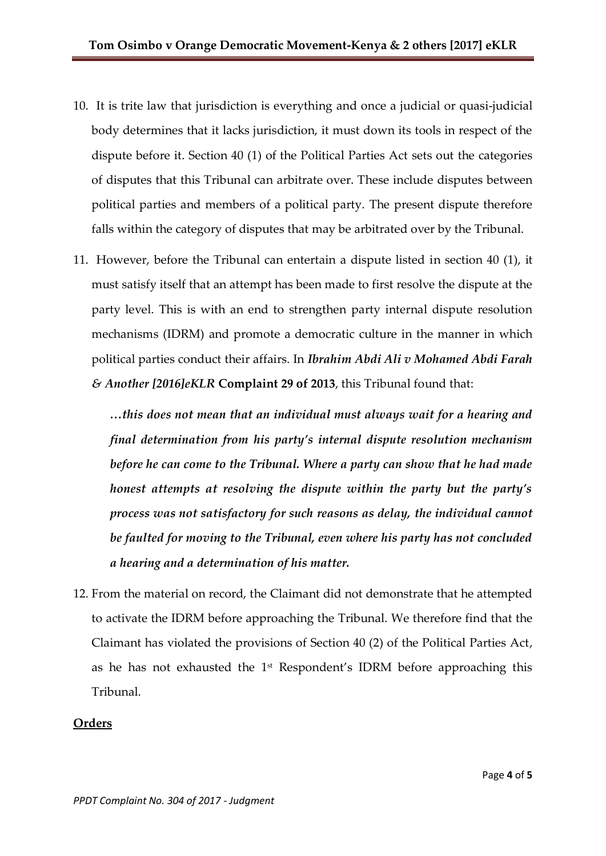- 10. It is trite law that jurisdiction is everything and once a judicial or quasi-judicial body determines that it lacks jurisdiction, it must down its tools in respect of the dispute before it. Section 40 (1) of the Political Parties Act sets out the categories of disputes that this Tribunal can arbitrate over. These include disputes between political parties and members of a political party. The present dispute therefore falls within the category of disputes that may be arbitrated over by the Tribunal.
- 11. However, before the Tribunal can entertain a dispute listed in section 40 (1), it must satisfy itself that an attempt has been made to first resolve the dispute at the party level. This is with an end to strengthen party internal dispute resolution mechanisms (IDRM) and promote a democratic culture in the manner in which political parties conduct their affairs. In *Ibrahim Abdi Ali v Mohamed Abdi Farah & Another [2016]eKLR* **Complaint 29 of 2013**, this Tribunal found that:

*…this does not mean that an individual must always wait for a hearing and final determination from his party's internal dispute resolution mechanism before he can come to the Tribunal. Where a party can show that he had made honest attempts at resolving the dispute within the party but the party's process was not satisfactory for such reasons as delay, the individual cannot be faulted for moving to the Tribunal, even where his party has not concluded a hearing and a determination of his matter.*

12. From the material on record, the Claimant did not demonstrate that he attempted to activate the IDRM before approaching the Tribunal. We therefore find that the Claimant has violated the provisions of Section 40 (2) of the Political Parties Act, as he has not exhausted the  $1<sup>st</sup>$  Respondent's IDRM before approaching this Tribunal.

#### **Orders**